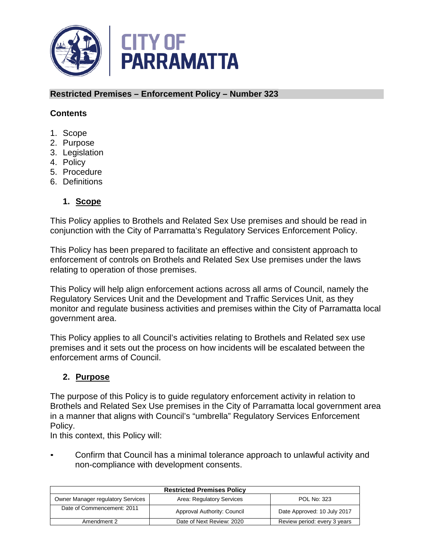

#### **Restricted Premises – Enforcement Policy – Number 323**

#### **Contents**

- 1. Scope
- 2. Purpose
- 3. Legislation
- 4. Policy
- 5. Procedure
- 6. Definitions

## **1. Scope**

This Policy applies to Brothels and Related Sex Use premises and should be read in conjunction with the City of Parramatta's Regulatory Services Enforcement Policy.

This Policy has been prepared to facilitate an effective and consistent approach to enforcement of controls on Brothels and Related Sex Use premises under the laws relating to operation of those premises.

This Policy will help align enforcement actions across all arms of Council, namely the Regulatory Services Unit and the Development and Traffic Services Unit, as they monitor and regulate business activities and premises within the City of Parramatta local government area.

This Policy applies to all Council's activities relating to Brothels and Related sex use premises and it sets out the process on how incidents will be escalated between the enforcement arms of Council.

## **2. Purpose**

The purpose of this Policy is to guide regulatory enforcement activity in relation to Brothels and Related Sex Use premises in the City of Parramatta local government area in a manner that aligns with Council's "umbrella" Regulatory Services Enforcement Policy.

In this context, this Policy will:

• Confirm that Council has a minimal tolerance approach to unlawful activity and non-compliance with development consents.

| <b>Restricted Premises Policy</b>        |                             |                              |
|------------------------------------------|-----------------------------|------------------------------|
| <b>Owner Manager regulatory Services</b> | Area: Regulatory Services   | <b>POL No: 323</b>           |
| Date of Commencement: 2011               | Approval Authority: Council | Date Approved: 10 July 2017  |
| Amendment 2                              | Date of Next Review: 2020   | Review period: every 3 years |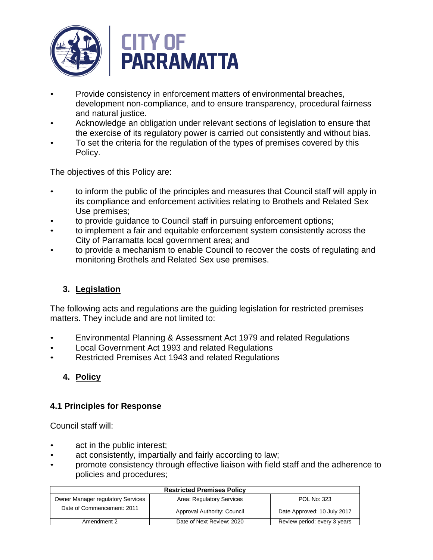

- Provide consistency in enforcement matters of environmental breaches, development non-compliance, and to ensure transparency, procedural fairness and natural justice.
- Acknowledge an obligation under relevant sections of legislation to ensure that the exercise of its regulatory power is carried out consistently and without bias.
- To set the criteria for the regulation of the types of premises covered by this Policy.

The objectives of this Policy are:

- to inform the public of the principles and measures that Council staff will apply in its compliance and enforcement activities relating to Brothels and Related Sex Use premises;
- to provide guidance to Council staff in pursuing enforcement options;
- to implement a fair and equitable enforcement system consistently across the City of Parramatta local government area; and
- to provide a mechanism to enable Council to recover the costs of regulating and monitoring Brothels and Related Sex use premises.

## **3. Legislation**

The following acts and regulations are the guiding legislation for restricted premises matters. They include and are not limited to:

- Environmental Planning & Assessment Act 1979 and related Regulations
- Local Government Act 1993 and related Regulations
- Restricted Premises Act 1943 and related Regulations

# **4. Policy**

## **4.1 Principles for Response**

Council staff will:

- act in the public interest;
- act consistently, impartially and fairly according to law;
- promote consistency through effective liaison with field staff and the adherence to policies and procedures;

| <b>Restricted Premises Policy</b>        |                             |                              |
|------------------------------------------|-----------------------------|------------------------------|
| <b>Owner Manager regulatory Services</b> | Area: Regulatory Services   | POL No: 323                  |
| Date of Commencement: 2011               | Approval Authority: Council | Date Approved: 10 July 2017  |
| Amendment 2                              | Date of Next Review: 2020   | Review period: every 3 years |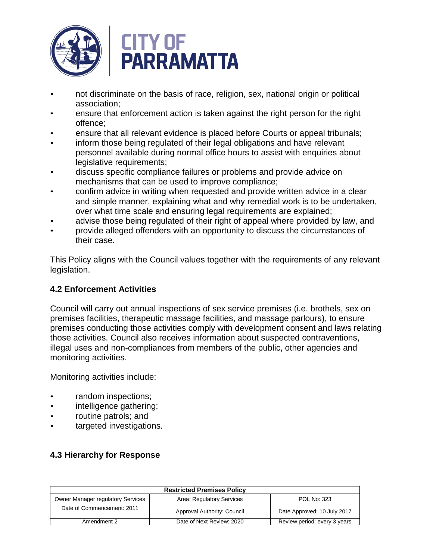

- not discriminate on the basis of race, religion, sex, national origin or political association;
- ensure that enforcement action is taken against the right person for the right offence;
- ensure that all relevant evidence is placed before Courts or appeal tribunals;
- inform those being regulated of their legal obligations and have relevant personnel available during normal office hours to assist with enquiries about legislative requirements;
- discuss specific compliance failures or problems and provide advice on mechanisms that can be used to improve compliance;
- confirm advice in writing when requested and provide written advice in a clear and simple manner, explaining what and why remedial work is to be undertaken, over what time scale and ensuring legal requirements are explained;
- advise those being regulated of their right of appeal where provided by law, and
- provide alleged offenders with an opportunity to discuss the circumstances of their case.

This Policy aligns with the Council values together with the requirements of any relevant legislation.

## **4.2 Enforcement Activities**

Council will carry out annual inspections of sex service premises (i.e. brothels, sex on premises facilities, therapeutic massage facilities, and massage parlours), to ensure premises conducting those activities comply with development consent and laws relating those activities. Council also receives information about suspected contraventions, illegal uses and non-compliances from members of the public, other agencies and monitoring activities.

Monitoring activities include:

- random inspections;
- intelligence gathering;
- routine patrols; and
- targeted investigations.

## **4.3 Hierarchy for Response**

| <b>Restricted Premises Policy</b>        |                             |                              |
|------------------------------------------|-----------------------------|------------------------------|
| <b>Owner Manager regulatory Services</b> | Area: Regulatory Services   | <b>POL No: 323</b>           |
| Date of Commencement: 2011               | Approval Authority: Council | Date Approved: 10 July 2017  |
| Amendment 2                              | Date of Next Review: 2020   | Review period: every 3 years |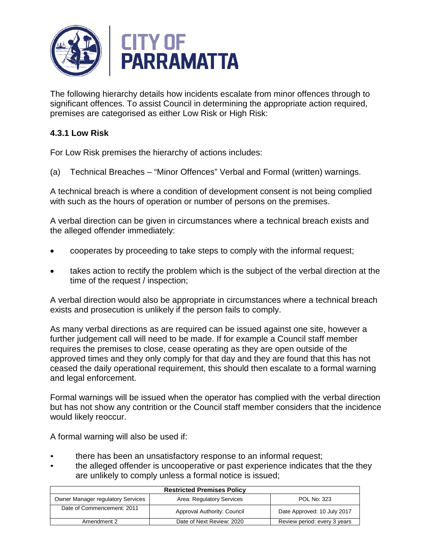

The following hierarchy details how incidents escalate from minor offences through to significant offences. To assist Council in determining the appropriate action required, premises are categorised as either Low Risk or High Risk:

# **4.3.1 Low Risk**

For Low Risk premises the hierarchy of actions includes:

(a) Technical Breaches – "Minor Offences" Verbal and Formal (written) warnings.

A technical breach is where a condition of development consent is not being complied with such as the hours of operation or number of persons on the premises.

A verbal direction can be given in circumstances where a technical breach exists and the alleged offender immediately:

- cooperates by proceeding to take steps to comply with the informal request;
- takes action to rectify the problem which is the subject of the verbal direction at the time of the request / inspection;

A verbal direction would also be appropriate in circumstances where a technical breach exists and prosecution is unlikely if the person fails to comply.

As many verbal directions as are required can be issued against one site, however a further judgement call will need to be made. If for example a Council staff member requires the premises to close, cease operating as they are open outside of the approved times and they only comply for that day and they are found that this has not ceased the daily operational requirement, this should then escalate to a formal warning and legal enforcement.

Formal warnings will be issued when the operator has complied with the verbal direction but has not show any contrition or the Council staff member considers that the incidence would likely reoccur.

A formal warning will also be used if:

- there has been an unsatisfactory response to an informal request;
- the alleged offender is uncooperative or past experience indicates that the they are unlikely to comply unless a formal notice is issued;

| <b>Restricted Premises Policy</b>        |                             |                              |
|------------------------------------------|-----------------------------|------------------------------|
| <b>Owner Manager regulatory Services</b> | Area: Regulatory Services   | POL No: 323                  |
| Date of Commencement: 2011               | Approval Authority: Council | Date Approved: 10 July 2017  |
| Amendment 2                              | Date of Next Review: 2020   | Review period: every 3 years |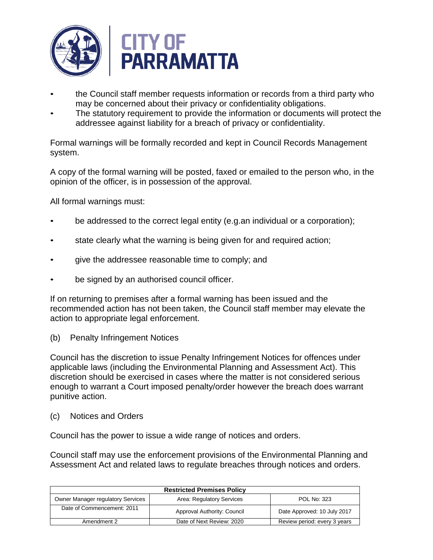

- the Council staff member requests information or records from a third party who may be concerned about their privacy or confidentiality obligations.
- The statutory requirement to provide the information or documents will protect the addressee against liability for a breach of privacy or confidentiality.

Formal warnings will be formally recorded and kept in Council Records Management system.

A copy of the formal warning will be posted, faxed or emailed to the person who, in the opinion of the officer, is in possession of the approval.

All formal warnings must:

- be addressed to the correct legal entity (e.g.an individual or a corporation);
- state clearly what the warning is being given for and required action;
- give the addressee reasonable time to comply; and
- be signed by an authorised council officer.

If on returning to premises after a formal warning has been issued and the recommended action has not been taken, the Council staff member may elevate the action to appropriate legal enforcement.

(b) Penalty Infringement Notices

Council has the discretion to issue Penalty Infringement Notices for offences under applicable laws (including the Environmental Planning and Assessment Act). This discretion should be exercised in cases where the matter is not considered serious enough to warrant a Court imposed penalty/order however the breach does warrant punitive action.

(c) Notices and Orders

Council has the power to issue a wide range of notices and orders.

Council staff may use the enforcement provisions of the Environmental Planning and Assessment Act and related laws to regulate breaches through notices and orders.

| <b>Restricted Premises Policy</b>        |                             |                              |
|------------------------------------------|-----------------------------|------------------------------|
| <b>Owner Manager regulatory Services</b> | Area: Regulatory Services   | <b>POL No: 323</b>           |
| Date of Commencement: 2011               | Approval Authority: Council | Date Approved: 10 July 2017  |
| Amendment 2                              | Date of Next Review: 2020   | Review period: every 3 years |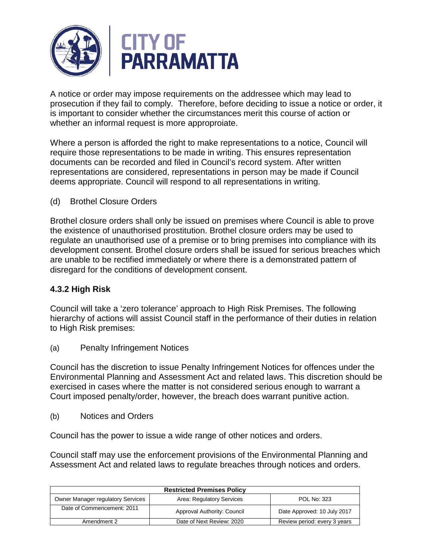

A notice or order may impose requirements on the addressee which may lead to prosecution if they fail to comply. Therefore, before deciding to issue a notice or order, it is important to consider whether the circumstances merit this course of action or whether an informal request is more approproiate.

Where a person is afforded the right to make representations to a notice, Council will require those representations to be made in writing. This ensures representation documents can be recorded and filed in Council's record system. After written representations are considered, representations in person may be made if Council deems appropriate. Council will respond to all representations in writing.

(d) Brothel Closure Orders

Brothel closure orders shall only be issued on premises where Council is able to prove the existence of unauthorised prostitution. Brothel closure orders may be used to regulate an unauthorised use of a premise or to bring premises into compliance with its development consent. Brothel closure orders shall be issued for serious breaches which are unable to be rectified immediately or where there is a demonstrated pattern of disregard for the conditions of development consent.

## **4.3.2 High Risk**

Council will take a 'zero tolerance' approach to High Risk Premises. The following hierarchy of actions will assist Council staff in the performance of their duties in relation to High Risk premises:

(a) Penalty Infringement Notices

Council has the discretion to issue Penalty Infringement Notices for offences under the Environmental Planning and Assessment Act and related laws. This discretion should be exercised in cases where the matter is not considered serious enough to warrant a Court imposed penalty/order, however, the breach does warrant punitive action.

(b) Notices and Orders

Council has the power to issue a wide range of other notices and orders.

Council staff may use the enforcement provisions of the Environmental Planning and Assessment Act and related laws to regulate breaches through notices and orders.

| <b>Restricted Premises Policy</b>        |                             |                              |
|------------------------------------------|-----------------------------|------------------------------|
| <b>Owner Manager regulatory Services</b> | Area: Regulatory Services   | <b>POL No: 323</b>           |
| Date of Commencement: 2011               | Approval Authority: Council | Date Approved: 10 July 2017  |
| Amendment 2                              | Date of Next Review: 2020   | Review period: every 3 years |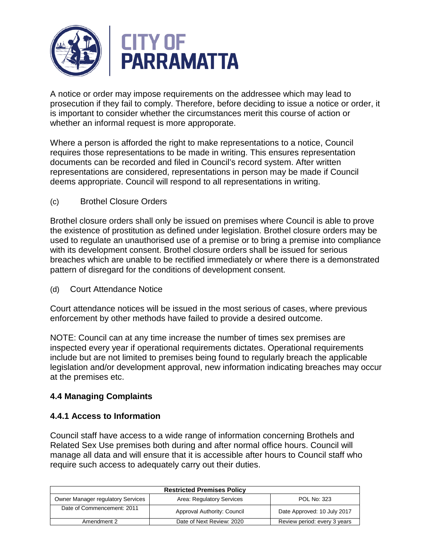

A notice or order may impose requirements on the addressee which may lead to prosecution if they fail to comply. Therefore, before deciding to issue a notice or order, it is important to consider whether the circumstances merit this course of action or whether an informal request is more approporate.

Where a person is afforded the right to make representations to a notice, Council requires those representations to be made in writing. This ensures representation documents can be recorded and filed in Council's record system. After written representations are considered, representations in person may be made if Council deems appropriate. Council will respond to all representations in writing.

(c) Brothel Closure Orders

Brothel closure orders shall only be issued on premises where Council is able to prove the existence of prostitution as defined under legislation. Brothel closure orders may be used to regulate an unauthorised use of a premise or to bring a premise into compliance with its development consent. Brothel closure orders shall be issued for serious breaches which are unable to be rectified immediately or where there is a demonstrated pattern of disregard for the conditions of development consent.

(d) Court Attendance Notice

Court attendance notices will be issued in the most serious of cases, where previous enforcement by other methods have failed to provide a desired outcome.

NOTE: Council can at any time increase the number of times sex premises are inspected every year if operational requirements dictates. Operational requirements include but are not limited to premises being found to regularly breach the applicable legislation and/or development approval, new information indicating breaches may occur at the premises etc.

## **4.4 Managing Complaints**

## **4.4.1 Access to Information**

Council staff have access to a wide range of information concerning Brothels and Related Sex Use premises both during and after normal office hours. Council will manage all data and will ensure that it is accessible after hours to Council staff who require such access to adequately carry out their duties.

| <b>Restricted Premises Policy</b>        |                             |                              |
|------------------------------------------|-----------------------------|------------------------------|
| <b>Owner Manager regulatory Services</b> | Area: Regulatory Services   | POL No: 323                  |
| Date of Commencement: 2011               | Approval Authority: Council | Date Approved: 10 July 2017  |
| Amendment 2                              | Date of Next Review: 2020   | Review period: every 3 years |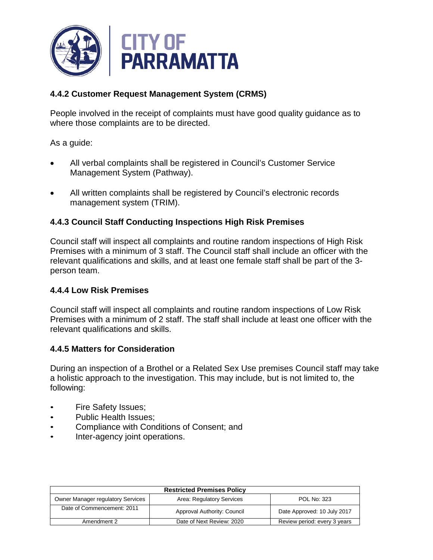

# **4.4.2 Customer Request Management System (CRMS)**

People involved in the receipt of complaints must have good quality guidance as to where those complaints are to be directed.

As a guide:

- All verbal complaints shall be registered in Council's Customer Service Management System (Pathway).
- All written complaints shall be registered by Council's electronic records management system (TRIM).

## **4.4.3 Council Staff Conducting Inspections High Risk Premises**

Council staff will inspect all complaints and routine random inspections of High Risk Premises with a minimum of 3 staff. The Council staff shall include an officer with the relevant qualifications and skills, and at least one female staff shall be part of the 3 person team.

## **4.4.4 Low Risk Premises**

Council staff will inspect all complaints and routine random inspections of Low Risk Premises with a minimum of 2 staff. The staff shall include at least one officer with the relevant qualifications and skills.

## **4.4.5 Matters for Consideration**

During an inspection of a Brothel or a Related Sex Use premises Council staff may take a holistic approach to the investigation. This may include, but is not limited to, the following:

- Fire Safety Issues;
- Public Health Issues:
- Compliance with Conditions of Consent; and
- Inter-agency joint operations.

| <b>Restricted Premises Policy</b>        |                             |                              |
|------------------------------------------|-----------------------------|------------------------------|
| <b>Owner Manager regulatory Services</b> | Area: Regulatory Services   | POL No: 323                  |
| Date of Commencement: 2011               | Approval Authority: Council | Date Approved: 10 July 2017  |
| Amendment 2                              | Date of Next Review: 2020   | Review period: every 3 years |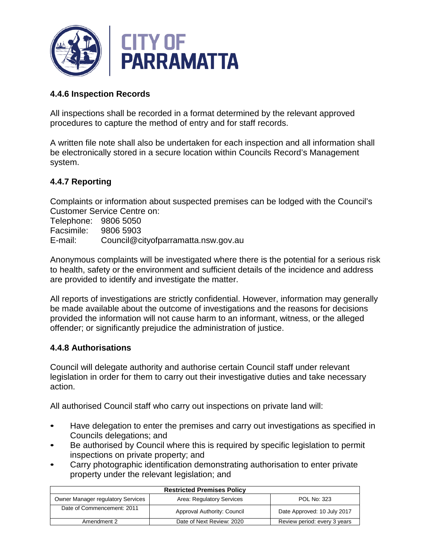

#### **4.4.6 Inspection Records**

All inspections shall be recorded in a format determined by the relevant approved procedures to capture the method of entry and for staff records.

A written file note shall also be undertaken for each inspection and all information shall be electronically stored in a secure location within Councils Record's Management system.

## **4.4.7 Reporting**

Complaints or information about suspected premises can be lodged with the Council's Customer Service Centre on:

Telephone: 9806 5050 Facsimile: 9806 5903 E-mail: Council@cityofparramatta.nsw.gov.au

Anonymous complaints will be investigated where there is the potential for a serious risk to health, safety or the environment and sufficient details of the incidence and address are provided to identify and investigate the matter.

All reports of investigations are strictly confidential. However, information may generally be made available about the outcome of investigations and the reasons for decisions provided the information will not cause harm to an informant, witness, or the alleged offender; or significantly prejudice the administration of justice.

#### **4.4.8 Authorisations**

Council will delegate authority and authorise certain Council staff under relevant legislation in order for them to carry out their investigative duties and take necessary action.

All authorised Council staff who carry out inspections on private land will:

- Have delegation to enter the premises and carry out investigations as specified in Councils delegations; and
- Be authorised by Council where this is required by specific legislation to permit inspections on private property; and
- Carry photographic identification demonstrating authorisation to enter private property under the relevant legislation; and

| <b>Restricted Premises Policy</b>        |                             |                              |
|------------------------------------------|-----------------------------|------------------------------|
| <b>Owner Manager regulatory Services</b> | Area: Regulatory Services   | POL No: 323                  |
| Date of Commencement: 2011               | Approval Authority: Council | Date Approved: 10 July 2017  |
| Amendment 2                              | Date of Next Review: 2020   | Review period: every 3 years |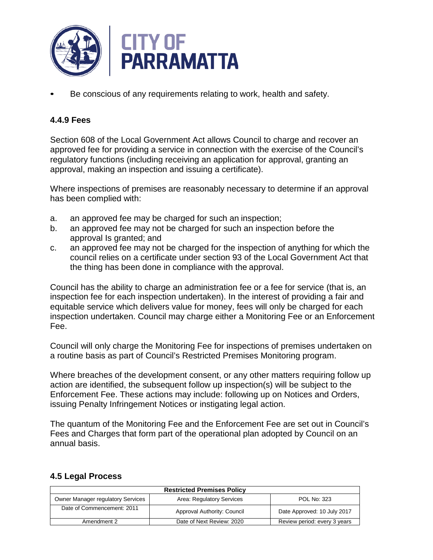

Be conscious of any requirements relating to work, health and safety.

#### **4.4.9 Fees**

Section 608 of the Local Government Act allows Council to charge and recover an approved fee for providing a service in connection with the exercise of the Council's regulatory functions (including receiving an application for approval, granting an approval, making an inspection and issuing a certificate).

Where inspections of premises are reasonably necessary to determine if an approval has been complied with:

- a. an approved fee may be charged for such an inspection;
- b. an approved fee may not be charged for such an inspection before the approval Is granted; and
- c. an approved fee may not be charged for the inspection of anything for which the council relies on a certificate under section 93 of the Local Government Act that the thing has been done in compliance with the approval.

Council has the ability to charge an administration fee or a fee for service (that is, an inspection fee for each inspection undertaken). In the interest of providing a fair and equitable service which delivers value for money, fees will only be charged for each inspection undertaken. Council may charge either a Monitoring Fee or an Enforcement Fee.

Council will only charge the Monitoring Fee for inspections of premises undertaken on a routine basis as part of Council's Restricted Premises Monitoring program.

Where breaches of the development consent, or any other matters requiring follow up action are identified, the subsequent follow up inspection(s) will be subject to the Enforcement Fee. These actions may include: following up on Notices and Orders, issuing Penalty Infringement Notices or instigating legal action.

The quantum of the Monitoring Fee and the Enforcement Fee are set out in Council's Fees and Charges that form part of the operational plan adopted by Council on an annual basis.

| <b>Restricted Premises Policy</b>        |                             |                              |
|------------------------------------------|-----------------------------|------------------------------|
| <b>Owner Manager regulatory Services</b> | Area: Regulatory Services   | <b>POL No: 323</b>           |
| Date of Commencement: 2011               | Approval Authority: Council | Date Approved: 10 July 2017  |
| Amendment 2                              | Date of Next Review: 2020   | Review period: every 3 years |

#### **4.5 Legal Process**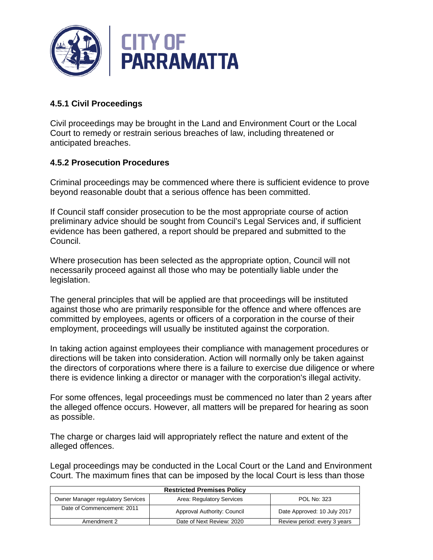

# **4.5.1 Civil Proceedings**

Civil proceedings may be brought in the Land and Environment Court or the Local Court to remedy or restrain serious breaches of law, including threatened or anticipated breaches.

## **4.5.2 Prosecution Procedures**

Criminal proceedings may be commenced where there is sufficient evidence to prove beyond reasonable doubt that a serious offence has been committed.

If Council staff consider prosecution to be the most appropriate course of action preliminary advice should be sought from Council's Legal Services and, if sufficient evidence has been gathered, a report should be prepared and submitted to the Council.

Where prosecution has been selected as the appropriate option, Council will not necessarily proceed against all those who may be potentially liable under the legislation.

The general principles that will be applied are that proceedings will be instituted against those who are primarily responsible for the offence and where offences are committed by employees, agents or officers of a corporation in the course of their employment, proceedings will usually be instituted against the corporation.

In taking action against employees their compliance with management procedures or directions will be taken into consideration. Action will normally only be taken against the directors of corporations where there is a failure to exercise due diligence or where there is evidence linking a director or manager with the corporation's illegal activity.

For some offences, legal proceedings must be commenced no later than 2 years after the alleged offence occurs. However, all matters will be prepared for hearing as soon as possible.

The charge or charges laid will appropriately reflect the nature and extent of the alleged offences.

Legal proceedings may be conducted in the Local Court or the Land and Environment Court. The maximum fines that can be imposed by the local Court is less than those

| <b>Restricted Premises Policy</b>        |                             |                              |
|------------------------------------------|-----------------------------|------------------------------|
| <b>Owner Manager regulatory Services</b> | Area: Regulatory Services   | <b>POL No: 323</b>           |
| Date of Commencement: 2011               | Approval Authority: Council | Date Approved: 10 July 2017  |
| Amendment 2                              | Date of Next Review: 2020   | Review period: every 3 years |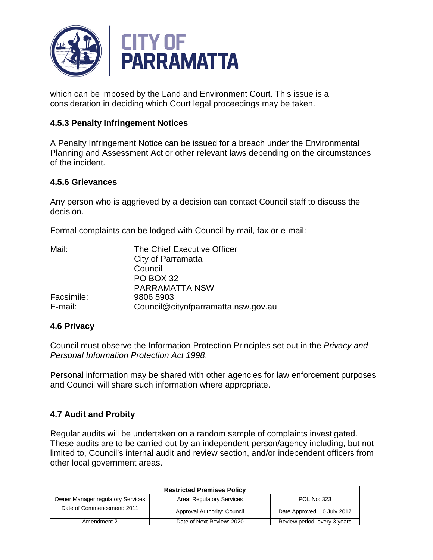

which can be imposed by the Land and Environment Court. This issue is a consideration in deciding which Court legal proceedings may be taken.

#### **4.5.3 Penalty Infringement Notices**

A Penalty Infringement Notice can be issued for a breach under the Environmental Planning and Assessment Act or other relevant laws depending on the circumstances of the incident.

#### **4.5.6 Grievances**

Any person who is aggrieved by a decision can contact Council staff to discuss the decision.

Formal complaints can be lodged with Council by mail, fax or e-mail:

| Mail:      | The Chief Executive Officer         |
|------------|-------------------------------------|
|            | City of Parramatta                  |
|            | Council                             |
|            | <b>PO BOX 32</b>                    |
|            | <b>PARRAMATTA NSW</b>               |
| Facsimile: | 9806 5903                           |
| E-mail:    | Council@cityofparramatta.nsw.gov.au |

#### **4.6 Privacy**

Council must observe the Information Protection Principles set out in the *Privacy and Personal Information Protection Act 1998*.

Personal information may be shared with other agencies for law enforcement purposes and Council will share such information where appropriate.

#### **4.7 Audit and Probity**

Regular audits will be undertaken on a random sample of complaints investigated. These audits are to be carried out by an independent person/agency including, but not limited to, Council's internal audit and review section, and/or independent officers from other local government areas.

| <b>Restricted Premises Policy</b>        |                             |                              |  |
|------------------------------------------|-----------------------------|------------------------------|--|
| <b>Owner Manager regulatory Services</b> | Area: Regulatory Services   | <b>POL No: 323</b>           |  |
| Date of Commencement: 2011               | Approval Authority: Council | Date Approved: 10 July 2017  |  |
| Amendment 2                              | Date of Next Review: 2020   | Review period: every 3 years |  |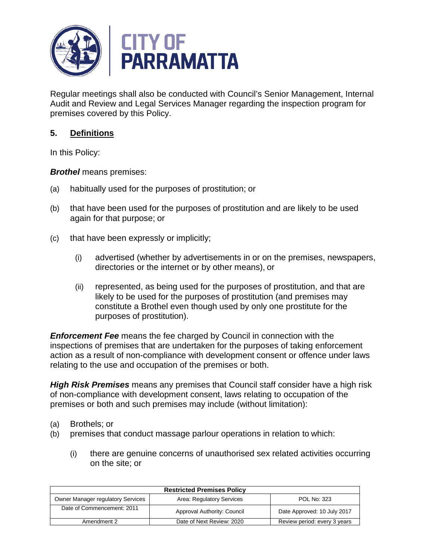

Regular meetings shall also be conducted with Council's Senior Management, Internal Audit and Review and Legal Services Manager regarding the inspection program for premises covered by this Policy.

# **5. Definitions**

In this Policy:

*Brothel* means premises:

- (a) habitually used for the purposes of prostitution; or
- (b) that have been used for the purposes of prostitution and are likely to be used again for that purpose; or
- (c) that have been expressly or implicitly;
	- (i) advertised (whether by advertisements in or on the premises, newspapers, directories or the internet or by other means), or
	- (ii) represented, as being used for the purposes of prostitution, and that are likely to be used for the purposes of prostitution (and premises may constitute a Brothel even though used by only one prostitute for the purposes of prostitution).

*Enforcement Fee* means the fee charged by Council in connection with the inspections of premises that are undertaken for the purposes of taking enforcement action as a result of non-compliance with development consent or offence under laws relating to the use and occupation of the premises or both.

*High Risk Premises* means any premises that Council staff consider have a high risk of non-compliance with development consent, laws relating to occupation of the premises or both and such premises may include (without limitation):

- (a) Brothels; or
- (b) premises that conduct massage parlour operations in relation to which:
	- (i) there are genuine concerns of unauthorised sex related activities occurring on the site; or

| <b>Restricted Premises Policy</b>        |                             |                              |  |
|------------------------------------------|-----------------------------|------------------------------|--|
| <b>Owner Manager regulatory Services</b> | Area: Regulatory Services   | POL No: 323                  |  |
| Date of Commencement: 2011               | Approval Authority: Council | Date Approved: 10 July 2017  |  |
| Amendment 2                              | Date of Next Review: 2020   | Review period: every 3 years |  |